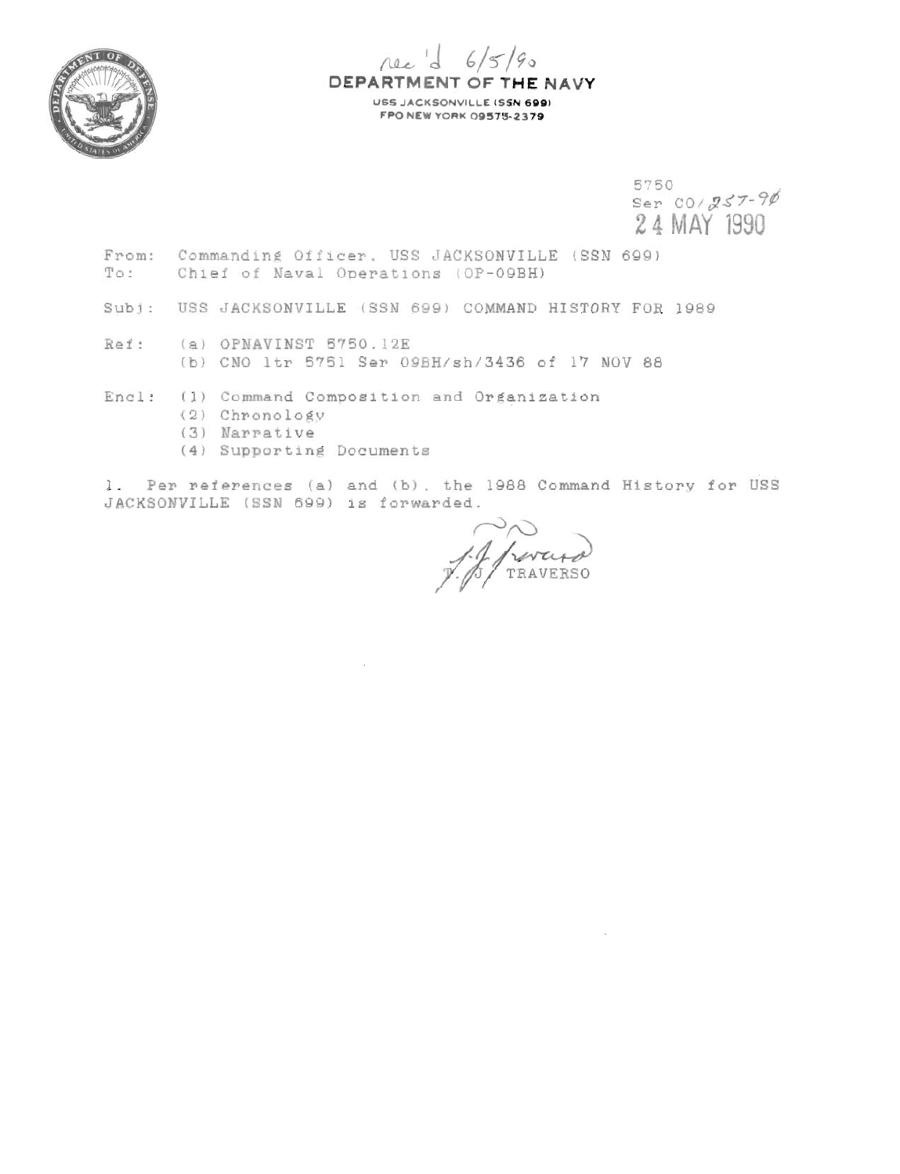

rec d 6/5/90 DEPARTMENT OF THE NAVY USS JACKSONVILLE (SSN 699) **FPO NEW YORK 09575-2379** 

> 5750 Ser  $00/257 - 90$ 24 MAY 1990

- From: Commanding Officer, USS JACKSONVILLE (SSN 699) To: Chief of Naval Operations (OP-09BH)
- Subj: USS JACKSONVILLE (SSN 699) COMMAND HISTORY FOR 1989
- Ref: (a) OPNAVINST 5750.12E (b) CNO 1tr 5751 Ser 09BH/sh/3436 of 17 NOV 88
- Encl: (1) Command Composition and Organization
	- (2) Chronology
	- (3) Narrative
	- (4) Supporting Documents

1. Per references (a) and (b), the 1988 Command History for USS JACKSONVILLE (SSN 699) is forwarded.

11 revered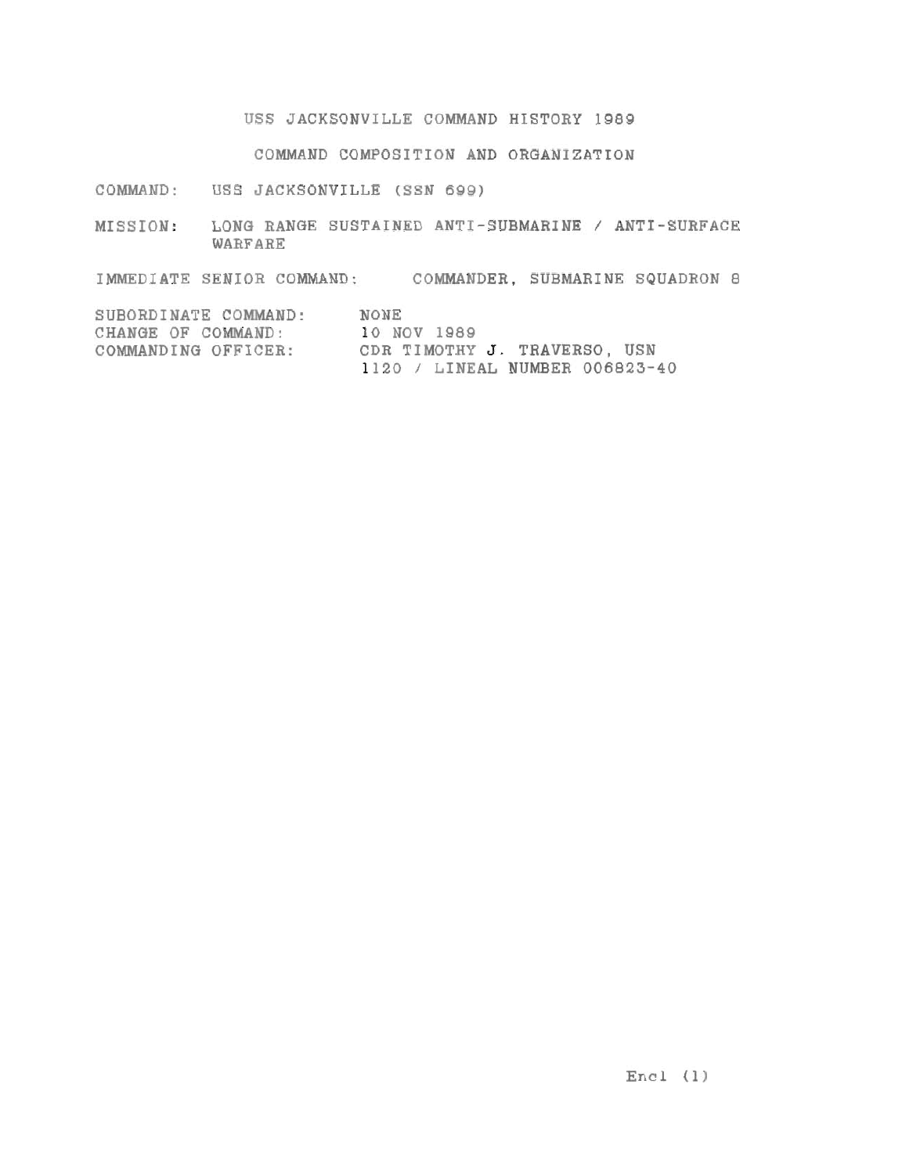**USS JACKSONVILLE COMMAND HISTORY 1989** 

**COMMAND COMPOSITION AND ORGANIZATION** 

**COMMAND: USS JACKSONVILLE** (SSN **699)** 

**MISSION: LONU RANGE SUSTAINED ANTI-SUBMARINE** / **ANTI-SURFACE WARFARE** 

IMMEDIATE SENIOR COMMAND: COMMANDER, SUBMARINE SQUADRON 8

| SUBORDINATE COMMAND: | NONE                           |
|----------------------|--------------------------------|
| CHANGE OF COMMAND:   | 10 NOV 1989                    |
| COMMANDING OFFICER:  | CDR TIMOTHY J. TRAVERSO, USN   |
|                      | 1120 / LINEAL NUMBER 006823-40 |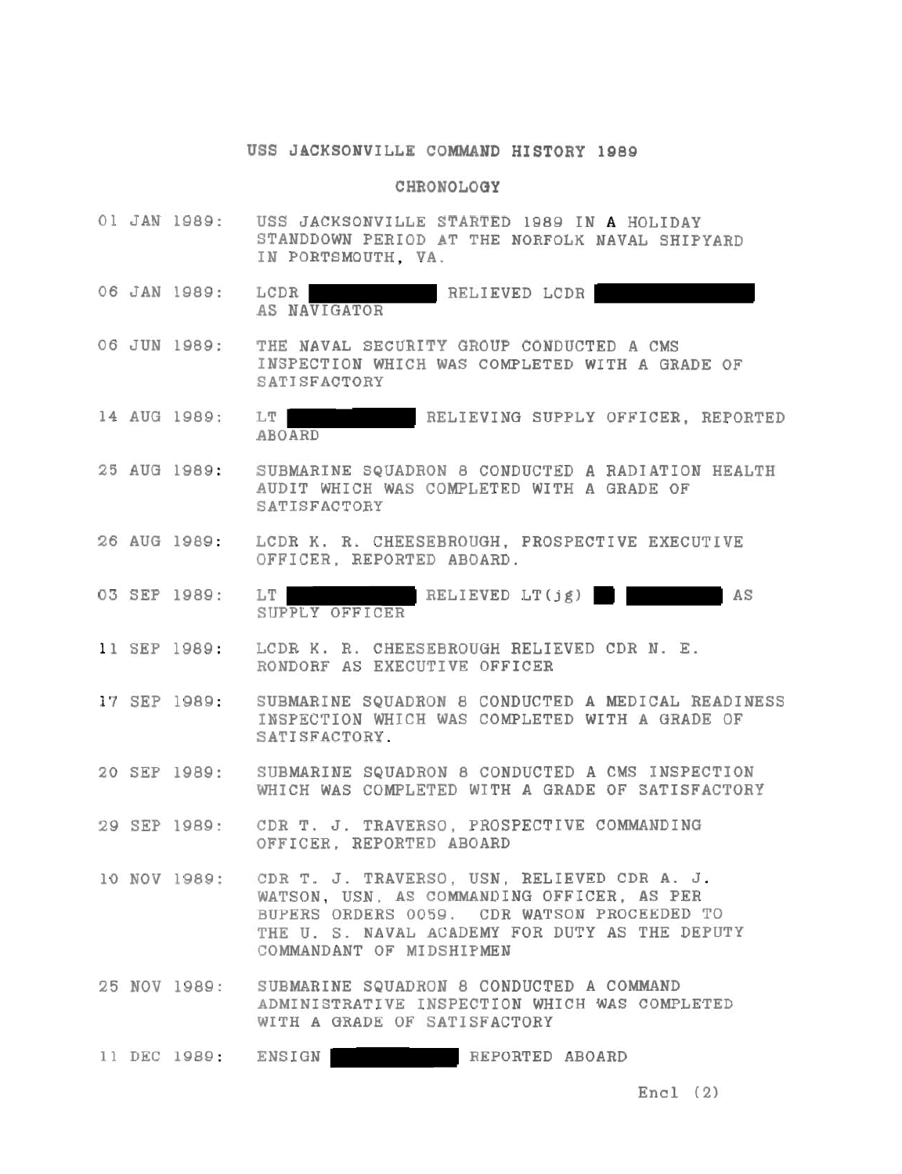## **USS JACKSONVILLE COMMAND HISTORY 1989**

## **CHRONOLOGY**

- 01 JAN 1989: USS JACKSONVILLE STARTED 1989 IN A HOLIDAY STANDDOWN PERIOD AT THE NORFOLK NAVAL SHIPYARD IN PORTSMOUTH, VA.
- 06 JAN 1989: LCDR RELIEVED LCDR AS NAVIGATOR
- 06 JUN 1989: THE NAVAL SECURITY GROUP CONDUCTED A CMS INSPECTION WHICH WAS COMPLETED WITH A GRADE OF SATISFACTORY
- 14 AUG 1989: RELIEVING SUPPLY OFFICER. REPORTED ABOARD
- 25 AUG 1989: SUBMARINE SQUADRON 8 CONDUCTED **A** RADIATION HEALTH AUDIT WHICH WAS COMPLETED WITH A GRADE OF SATISFACTORY
- 26 AUG 1989: LCDR K. R. CHEESBBROUGH, PROSPECTIVE EXECUTIVE OFFICER, REPORTED ABOARD.
- 03 SEP 1989: LT RELIEVED LT(jg) AS SUPPLY OFFICER
- 11 SEP 1989: LCDR K. R. CHEESEBROUGH RELIEVED CDR N. E. RONDORF AS EXECUTIVE OFFICER

17 SEP 1989: SUBMARINE SQUADRON 8 CONDUCTED A MEDICAL READINESS INSPECTION WHICH WAS COMPLETED WITH A GRADE OF SATISFACTORY.

- 20 SEP 1989: SUBMARINE SQUADRON 8 CONDUCTED A CMS INSPECTION WHICH WAS COMPLETED WITH A GRADE OF SATISFACTORY
- 29 SEP 1989: CDR T. J. TRAVERSO, PROSPECTIVE COMMANDING OFFICER, REPORTED ABOARD
- 10 NOV 1989: CDR T. J. TRAVERSO. USN. RELIEVED CDR **A.** J. WATSON, USN. AS COMMANDING OFFICER, AS PER SUPERS ORDERS 0059. CDR WATSON PROCEEDED TO THE U. S. NAVAL ACADEMY FOR DUTY **AS** THE DEPUTY COMMANDANT OF MIDSHIPMEN
- 25 NOV 1989: SUBMARINE SQUADRON 8 CONDUCTED **A** COMMAND ADMINISTRATIVE INSPECTION WHICH WAS COMPLETED WITH A GRADE OF SATISFACTORY

11 DEC 1989: REPORTED ABOARD

Encl **(2)**